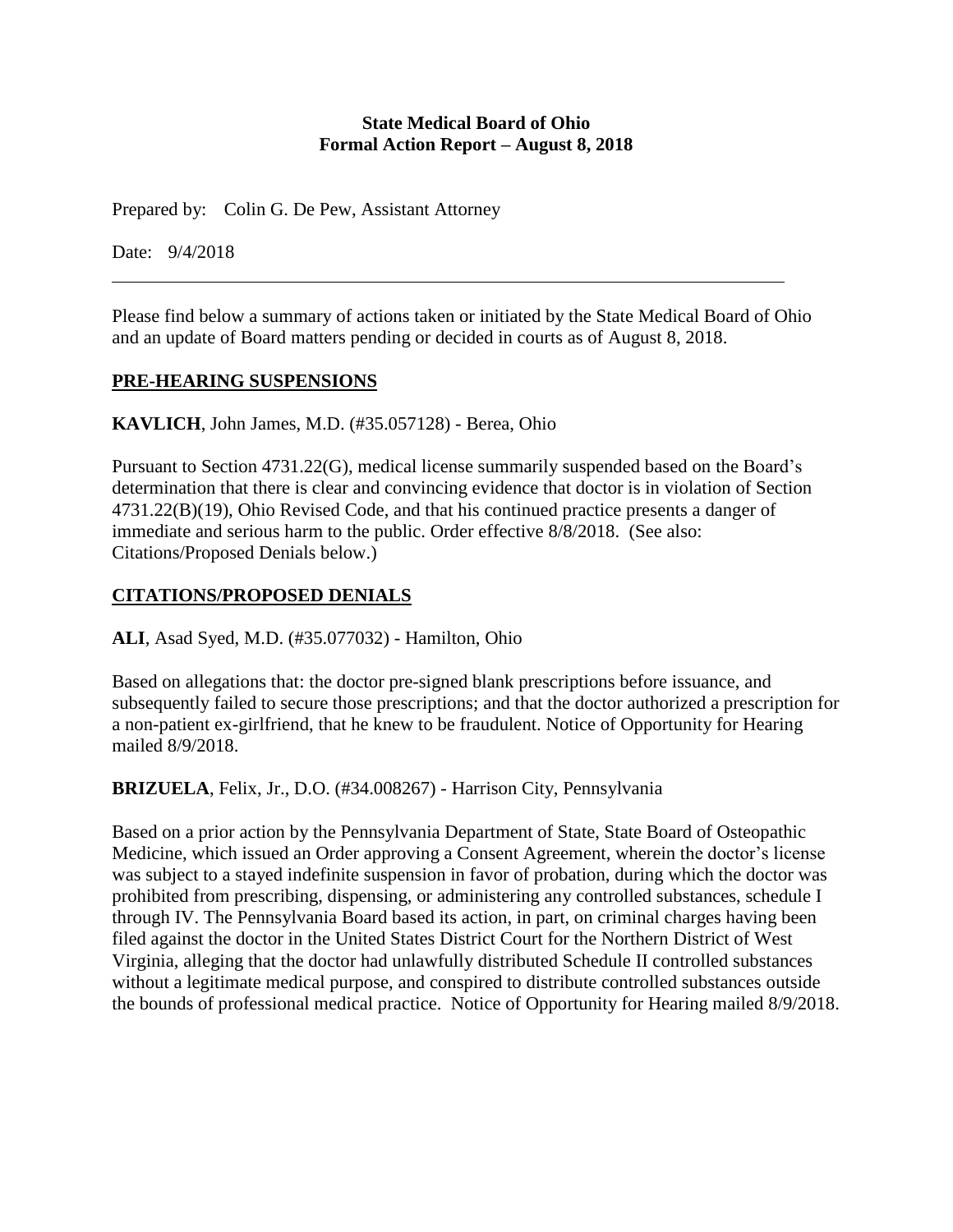### **State Medical Board of Ohio Formal Action Report – August 8, 2018**

Prepared by: Colin G. De Pew, Assistant Attorney

Date: 9/4/2018

Please find below a summary of actions taken or initiated by the State Medical Board of Ohio and an update of Board matters pending or decided in courts as of August 8, 2018.

### **PRE-HEARING SUSPENSIONS**

**KAVLICH**, John James, M.D. (#35.057128) - Berea, Ohio

Pursuant to Section 4731.22(G), medical license summarily suspended based on the Board's determination that there is clear and convincing evidence that doctor is in violation of Section 4731.22(B)(19), Ohio Revised Code, and that his continued practice presents a danger of immediate and serious harm to the public. Order effective 8/8/2018. (See also: Citations/Proposed Denials below.)

# **CITATIONS/PROPOSED DENIALS**

**ALI**, Asad Syed, M.D. (#35.077032) - Hamilton, Ohio

Based on allegations that: the doctor pre-signed blank prescriptions before issuance, and subsequently failed to secure those prescriptions; and that the doctor authorized a prescription for a non-patient ex-girlfriend, that he knew to be fraudulent. Notice of Opportunity for Hearing mailed 8/9/2018.

**BRIZUELA**, Felix, Jr., D.O. (#34.008267) - Harrison City, Pennsylvania

Based on a prior action by the Pennsylvania Department of State, State Board of Osteopathic Medicine, which issued an Order approving a Consent Agreement, wherein the doctor's license was subject to a stayed indefinite suspension in favor of probation, during which the doctor was prohibited from prescribing, dispensing, or administering any controlled substances, schedule I through IV. The Pennsylvania Board based its action, in part, on criminal charges having been filed against the doctor in the United States District Court for the Northern District of West Virginia, alleging that the doctor had unlawfully distributed Schedule II controlled substances without a legitimate medical purpose, and conspired to distribute controlled substances outside the bounds of professional medical practice. Notice of Opportunity for Hearing mailed 8/9/2018.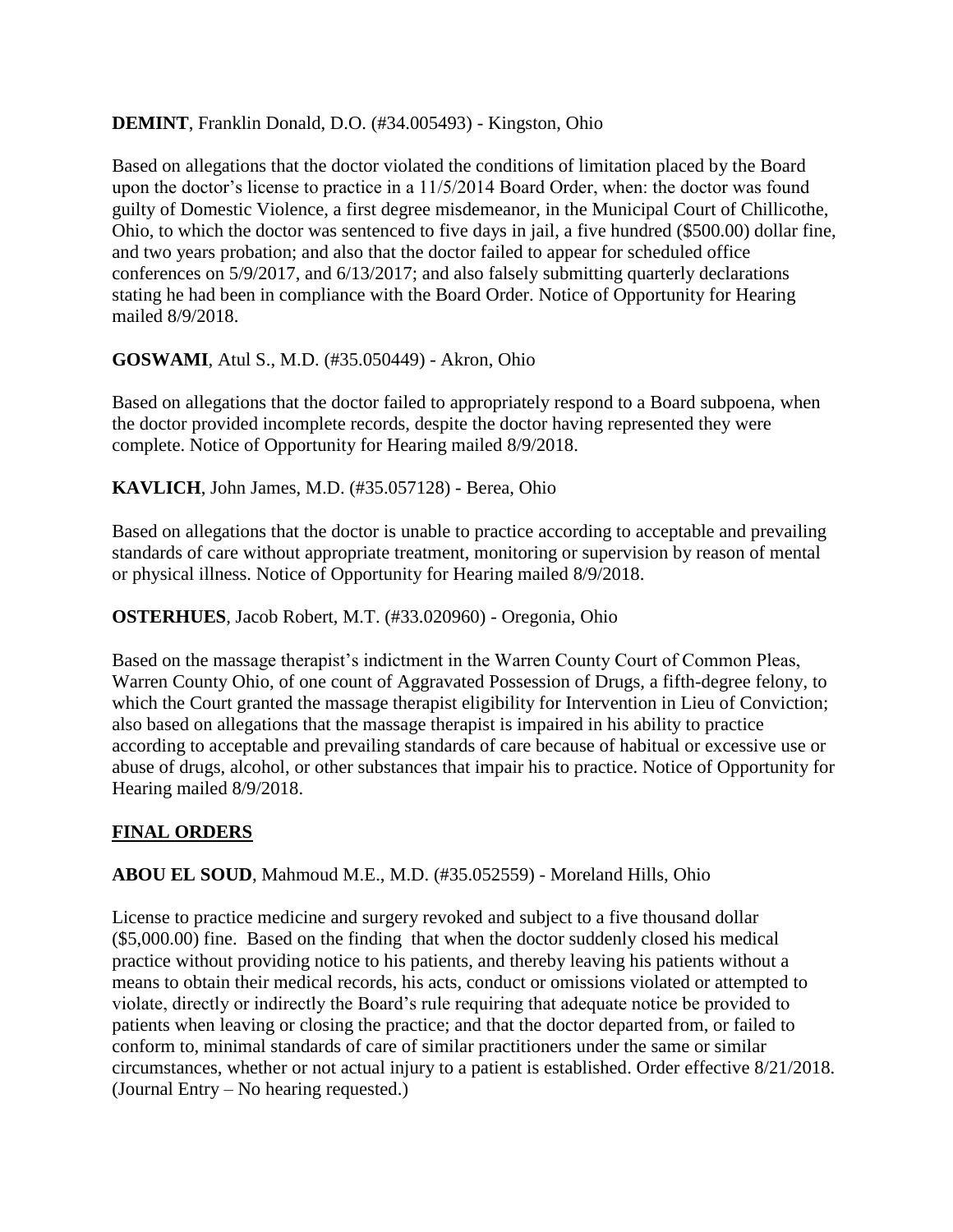# **DEMINT**, Franklin Donald, D.O. (#34.005493) - Kingston, Ohio

Based on allegations that the doctor violated the conditions of limitation placed by the Board upon the doctor's license to practice in a 11/5/2014 Board Order, when: the doctor was found guilty of Domestic Violence, a first degree misdemeanor, in the Municipal Court of Chillicothe, Ohio, to which the doctor was sentenced to five days in jail, a five hundred (\$500.00) dollar fine, and two years probation; and also that the doctor failed to appear for scheduled office conferences on 5/9/2017, and 6/13/2017; and also falsely submitting quarterly declarations stating he had been in compliance with the Board Order. Notice of Opportunity for Hearing mailed 8/9/2018.

### **GOSWAMI**, Atul S., M.D. (#35.050449) - Akron, Ohio

Based on allegations that the doctor failed to appropriately respond to a Board subpoena, when the doctor provided incomplete records, despite the doctor having represented they were complete. Notice of Opportunity for Hearing mailed 8/9/2018.

**KAVLICH**, John James, M.D. (#35.057128) - Berea, Ohio

Based on allegations that the doctor is unable to practice according to acceptable and prevailing standards of care without appropriate treatment, monitoring or supervision by reason of mental or physical illness. Notice of Opportunity for Hearing mailed 8/9/2018.

**OSTERHUES**, Jacob Robert, M.T. (#33.020960) - Oregonia, Ohio

Based on the massage therapist's indictment in the Warren County Court of Common Pleas, Warren County Ohio, of one count of Aggravated Possession of Drugs, a fifth-degree felony, to which the Court granted the massage therapist eligibility for Intervention in Lieu of Conviction; also based on allegations that the massage therapist is impaired in his ability to practice according to acceptable and prevailing standards of care because of habitual or excessive use or abuse of drugs, alcohol, or other substances that impair his to practice. Notice of Opportunity for Hearing mailed 8/9/2018.

# **FINAL ORDERS**

**ABOU EL SOUD**, Mahmoud M.E., M.D. (#35.052559) - Moreland Hills, Ohio

License to practice medicine and surgery revoked and subject to a five thousand dollar (\$5,000.00) fine. Based on the finding that when the doctor suddenly closed his medical practice without providing notice to his patients, and thereby leaving his patients without a means to obtain their medical records, his acts, conduct or omissions violated or attempted to violate, directly or indirectly the Board's rule requiring that adequate notice be provided to patients when leaving or closing the practice; and that the doctor departed from, or failed to conform to, minimal standards of care of similar practitioners under the same or similar circumstances, whether or not actual injury to a patient is established. Order effective 8/21/2018. (Journal Entry – No hearing requested.)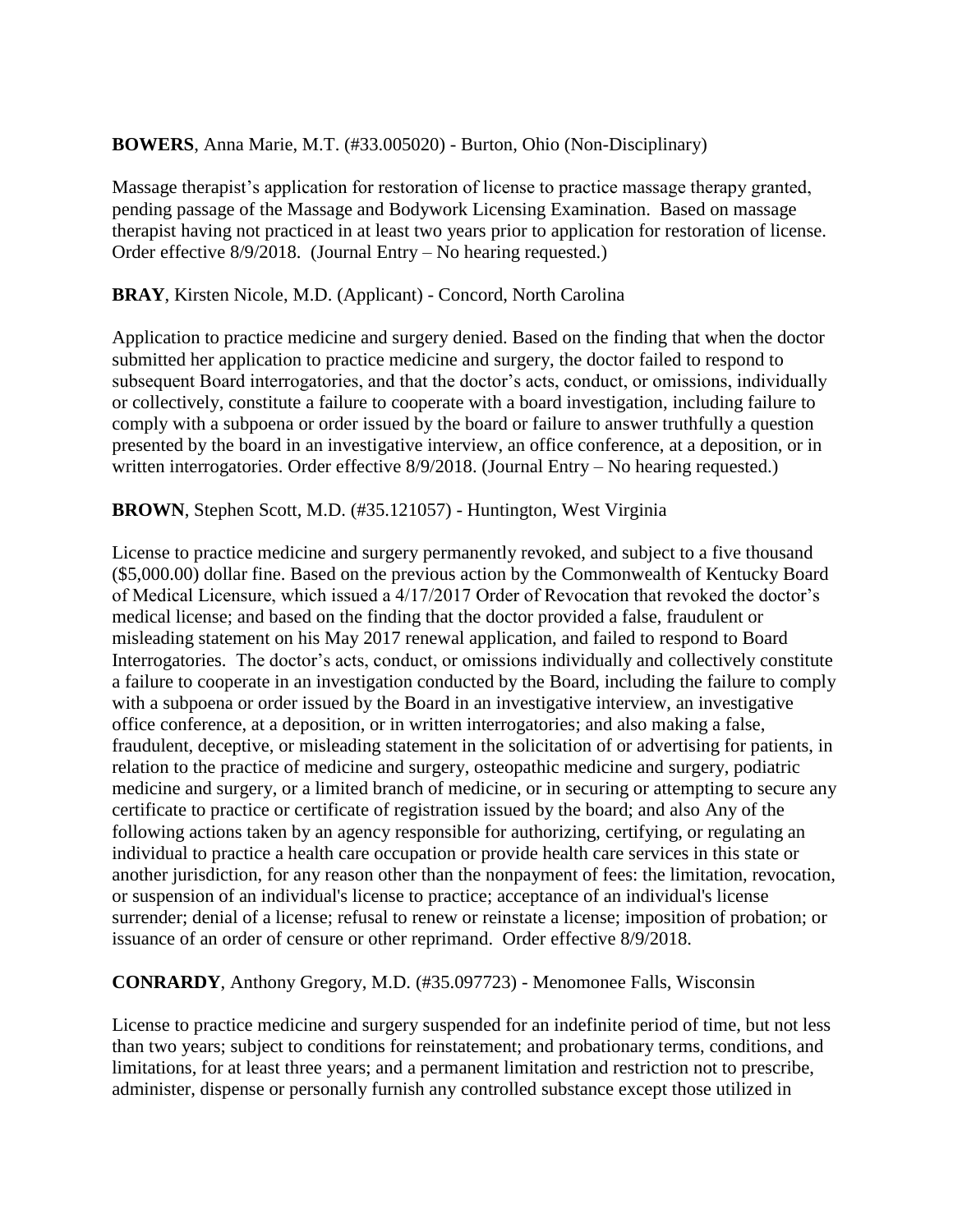### **BOWERS**, Anna Marie, M.T. (#33.005020) - Burton, Ohio (Non-Disciplinary)

Massage therapist's application for restoration of license to practice massage therapy granted, pending passage of the Massage and Bodywork Licensing Examination. Based on massage therapist having not practiced in at least two years prior to application for restoration of license. Order effective 8/9/2018. (Journal Entry – No hearing requested.)

### **BRAY**, Kirsten Nicole, M.D. (Applicant) - Concord, North Carolina

Application to practice medicine and surgery denied. Based on the finding that when the doctor submitted her application to practice medicine and surgery, the doctor failed to respond to subsequent Board interrogatories, and that the doctor's acts, conduct, or omissions, individually or collectively, constitute a failure to cooperate with a board investigation, including failure to comply with a subpoena or order issued by the board or failure to answer truthfully a question presented by the board in an investigative interview, an office conference, at a deposition, or in written interrogatories. Order effective 8/9/2018. (Journal Entry – No hearing requested.)

### **BROWN**, Stephen Scott, M.D. (#35.121057) - Huntington, West Virginia

License to practice medicine and surgery permanently revoked, and subject to a five thousand (\$5,000.00) dollar fine. Based on the previous action by the Commonwealth of Kentucky Board of Medical Licensure, which issued a 4/17/2017 Order of Revocation that revoked the doctor's medical license; and based on the finding that the doctor provided a false, fraudulent or misleading statement on his May 2017 renewal application, and failed to respond to Board Interrogatories. The doctor's acts, conduct, or omissions individually and collectively constitute a failure to cooperate in an investigation conducted by the Board, including the failure to comply with a subpoena or order issued by the Board in an investigative interview, an investigative office conference, at a deposition, or in written interrogatories; and also making a false, fraudulent, deceptive, or misleading statement in the solicitation of or advertising for patients, in relation to the practice of medicine and surgery, osteopathic medicine and surgery, podiatric medicine and surgery, or a limited branch of medicine, or in securing or attempting to secure any certificate to practice or certificate of registration issued by the board; and also Any of the following actions taken by an agency responsible for authorizing, certifying, or regulating an individual to practice a health care occupation or provide health care services in this state or another jurisdiction, for any reason other than the nonpayment of fees: the limitation, revocation, or suspension of an individual's license to practice; acceptance of an individual's license surrender; denial of a license; refusal to renew or reinstate a license; imposition of probation; or issuance of an order of censure or other reprimand. Order effective 8/9/2018.

#### **CONRARDY**, Anthony Gregory, M.D. (#35.097723) - Menomonee Falls, Wisconsin

License to practice medicine and surgery suspended for an indefinite period of time, but not less than two years; subject to conditions for reinstatement; and probationary terms, conditions, and limitations, for at least three years; and a permanent limitation and restriction not to prescribe, administer, dispense or personally furnish any controlled substance except those utilized in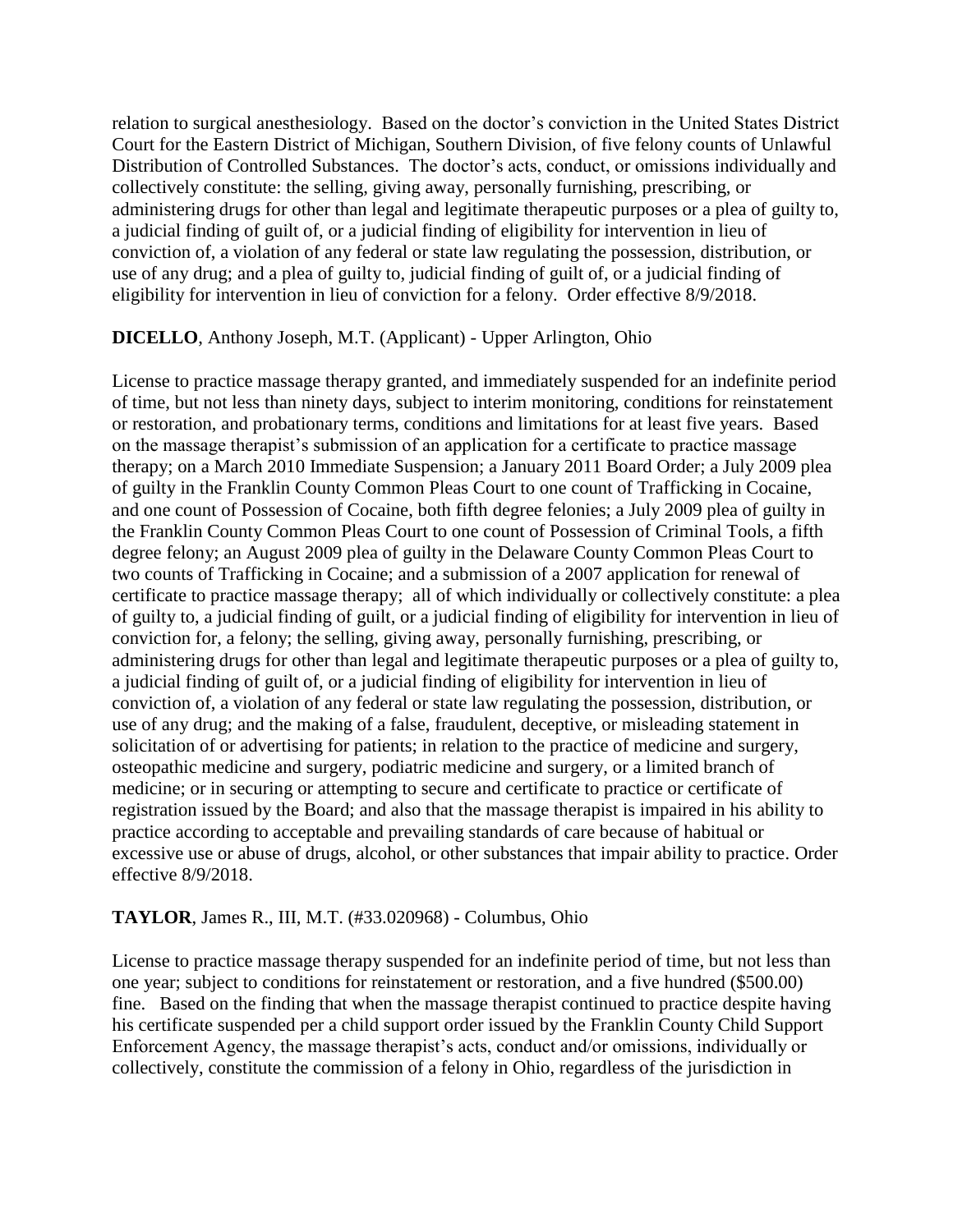relation to surgical anesthesiology. Based on the doctor's conviction in the United States District Court for the Eastern District of Michigan, Southern Division, of five felony counts of Unlawful Distribution of Controlled Substances. The doctor's acts, conduct, or omissions individually and collectively constitute: the selling, giving away, personally furnishing, prescribing, or administering drugs for other than legal and legitimate therapeutic purposes or a plea of guilty to, a judicial finding of guilt of, or a judicial finding of eligibility for intervention in lieu of conviction of, a violation of any federal or state law regulating the possession, distribution, or use of any drug; and a plea of guilty to, judicial finding of guilt of, or a judicial finding of eligibility for intervention in lieu of conviction for a felony. Order effective 8/9/2018.

### **DICELLO**, Anthony Joseph, M.T. (Applicant) - Upper Arlington, Ohio

License to practice massage therapy granted, and immediately suspended for an indefinite period of time, but not less than ninety days, subject to interim monitoring, conditions for reinstatement or restoration, and probationary terms, conditions and limitations for at least five years. Based on the massage therapist's submission of an application for a certificate to practice massage therapy; on a March 2010 Immediate Suspension; a January 2011 Board Order; a July 2009 plea of guilty in the Franklin County Common Pleas Court to one count of Trafficking in Cocaine, and one count of Possession of Cocaine, both fifth degree felonies; a July 2009 plea of guilty in the Franklin County Common Pleas Court to one count of Possession of Criminal Tools, a fifth degree felony; an August 2009 plea of guilty in the Delaware County Common Pleas Court to two counts of Trafficking in Cocaine; and a submission of a 2007 application for renewal of certificate to practice massage therapy; all of which individually or collectively constitute: a plea of guilty to, a judicial finding of guilt, or a judicial finding of eligibility for intervention in lieu of conviction for, a felony; the selling, giving away, personally furnishing, prescribing, or administering drugs for other than legal and legitimate therapeutic purposes or a plea of guilty to, a judicial finding of guilt of, or a judicial finding of eligibility for intervention in lieu of conviction of, a violation of any federal or state law regulating the possession, distribution, or use of any drug; and the making of a false, fraudulent, deceptive, or misleading statement in solicitation of or advertising for patients; in relation to the practice of medicine and surgery, osteopathic medicine and surgery, podiatric medicine and surgery, or a limited branch of medicine; or in securing or attempting to secure and certificate to practice or certificate of registration issued by the Board; and also that the massage therapist is impaired in his ability to practice according to acceptable and prevailing standards of care because of habitual or excessive use or abuse of drugs, alcohol, or other substances that impair ability to practice. Order effective 8/9/2018.

#### **TAYLOR**, James R., III, M.T. (#33.020968) - Columbus, Ohio

License to practice massage therapy suspended for an indefinite period of time, but not less than one year; subject to conditions for reinstatement or restoration, and a five hundred (\$500.00) fine. Based on the finding that when the massage therapist continued to practice despite having his certificate suspended per a child support order issued by the Franklin County Child Support Enforcement Agency, the massage therapist's acts, conduct and/or omissions, individually or collectively, constitute the commission of a felony in Ohio, regardless of the jurisdiction in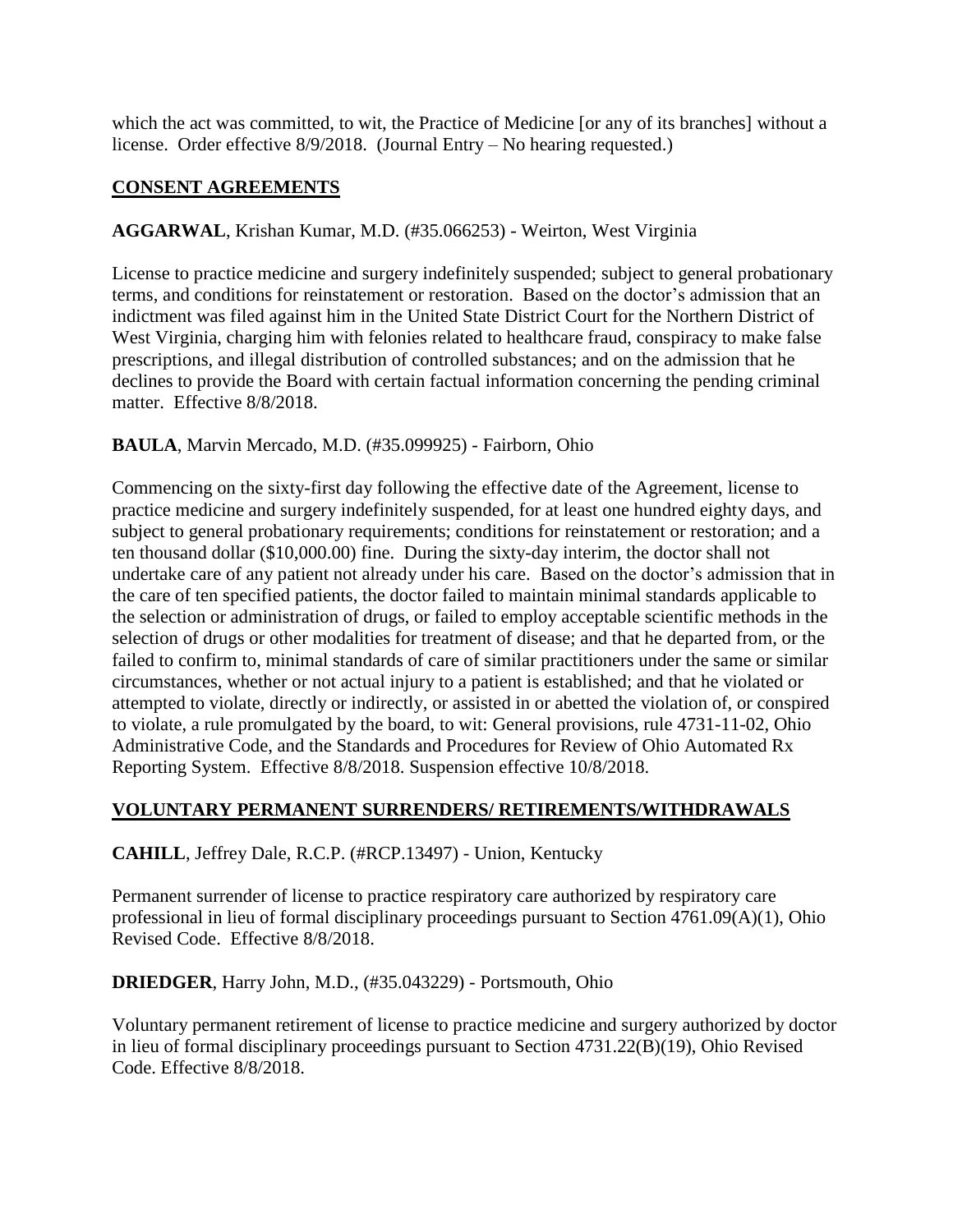which the act was committed, to wit, the Practice of Medicine [or any of its branches] without a license. Order effective 8/9/2018. (Journal Entry – No hearing requested.)

# **CONSENT AGREEMENTS**

# **AGGARWAL**, Krishan Kumar, M.D. (#35.066253) - Weirton, West Virginia

License to practice medicine and surgery indefinitely suspended; subject to general probationary terms, and conditions for reinstatement or restoration. Based on the doctor's admission that an indictment was filed against him in the United State District Court for the Northern District of West Virginia, charging him with felonies related to healthcare fraud, conspiracy to make false prescriptions, and illegal distribution of controlled substances; and on the admission that he declines to provide the Board with certain factual information concerning the pending criminal matter. Effective 8/8/2018.

# **BAULA**, Marvin Mercado, M.D. (#35.099925) - Fairborn, Ohio

Commencing on the sixty-first day following the effective date of the Agreement, license to practice medicine and surgery indefinitely suspended, for at least one hundred eighty days, and subject to general probationary requirements; conditions for reinstatement or restoration; and a ten thousand dollar (\$10,000.00) fine. During the sixty-day interim, the doctor shall not undertake care of any patient not already under his care. Based on the doctor's admission that in the care of ten specified patients, the doctor failed to maintain minimal standards applicable to the selection or administration of drugs, or failed to employ acceptable scientific methods in the selection of drugs or other modalities for treatment of disease; and that he departed from, or the failed to confirm to, minimal standards of care of similar practitioners under the same or similar circumstances, whether or not actual injury to a patient is established; and that he violated or attempted to violate, directly or indirectly, or assisted in or abetted the violation of, or conspired to violate, a rule promulgated by the board, to wit: General provisions, rule 4731-11-02, Ohio Administrative Code, and the Standards and Procedures for Review of Ohio Automated Rx Reporting System. Effective 8/8/2018. Suspension effective 10/8/2018.

# **VOLUNTARY PERMANENT SURRENDERS/ RETIREMENTS/WITHDRAWALS**

**CAHILL**, Jeffrey Dale, R.C.P. (#RCP.13497) - Union, Kentucky

Permanent surrender of license to practice respiratory care authorized by respiratory care professional in lieu of formal disciplinary proceedings pursuant to Section 4761.09(A)(1), Ohio Revised Code. Effective 8/8/2018.

**DRIEDGER**, Harry John, M.D., (#35.043229) - Portsmouth, Ohio

Voluntary permanent retirement of license to practice medicine and surgery authorized by doctor in lieu of formal disciplinary proceedings pursuant to Section 4731.22(B)(19), Ohio Revised Code. Effective 8/8/2018.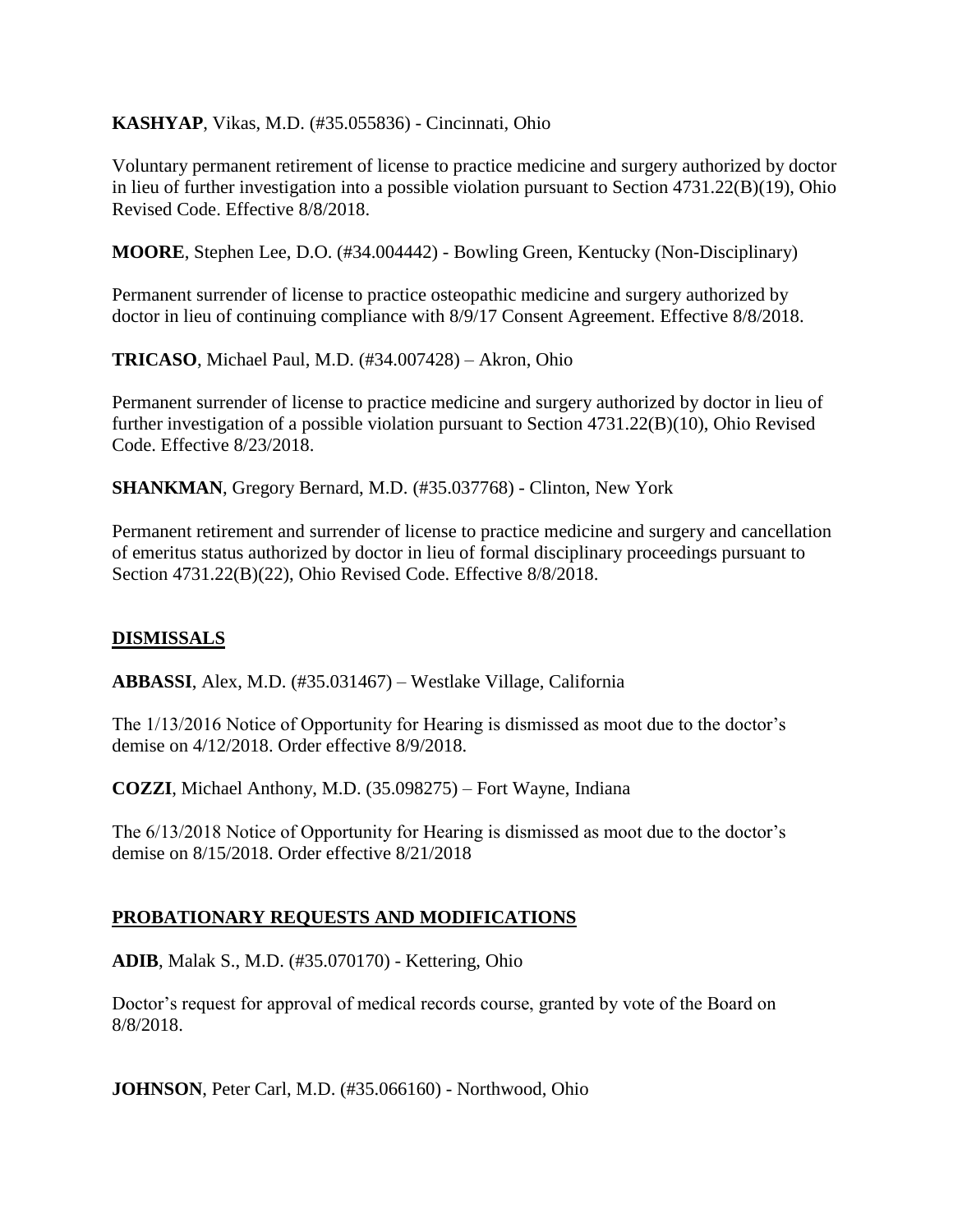**KASHYAP**, Vikas, M.D. (#35.055836) - Cincinnati, Ohio

Voluntary permanent retirement of license to practice medicine and surgery authorized by doctor in lieu of further investigation into a possible violation pursuant to Section 4731.22(B)(19), Ohio Revised Code. Effective 8/8/2018.

**MOORE**, Stephen Lee, D.O. (#34.004442) - Bowling Green, Kentucky (Non-Disciplinary)

Permanent surrender of license to practice osteopathic medicine and surgery authorized by doctor in lieu of continuing compliance with 8/9/17 Consent Agreement. Effective 8/8/2018.

**TRICASO**, Michael Paul, M.D. (#34.007428) – Akron, Ohio

Permanent surrender of license to practice medicine and surgery authorized by doctor in lieu of further investigation of a possible violation pursuant to Section 4731.22(B)(10), Ohio Revised Code. Effective 8/23/2018.

**SHANKMAN**, Gregory Bernard, M.D. (#35.037768) - Clinton, New York

Permanent retirement and surrender of license to practice medicine and surgery and cancellation of emeritus status authorized by doctor in lieu of formal disciplinary proceedings pursuant to Section 4731.22(B)(22), Ohio Revised Code. Effective 8/8/2018.

# **DISMISSALS**

**ABBASSI**, Alex, M.D. (#35.031467) – Westlake Village, California

The 1/13/2016 Notice of Opportunity for Hearing is dismissed as moot due to the doctor's demise on 4/12/2018. Order effective 8/9/2018.

**COZZI**, Michael Anthony, M.D. (35.098275) – Fort Wayne, Indiana

The 6/13/2018 Notice of Opportunity for Hearing is dismissed as moot due to the doctor's demise on 8/15/2018. Order effective 8/21/2018

#### **PROBATIONARY REQUESTS AND MODIFICATIONS**

**ADIB**, Malak S., M.D. (#35.070170) - Kettering, Ohio

Doctor's request for approval of medical records course, granted by vote of the Board on 8/8/2018.

**JOHNSON**, Peter Carl, M.D. (#35.066160) - Northwood, Ohio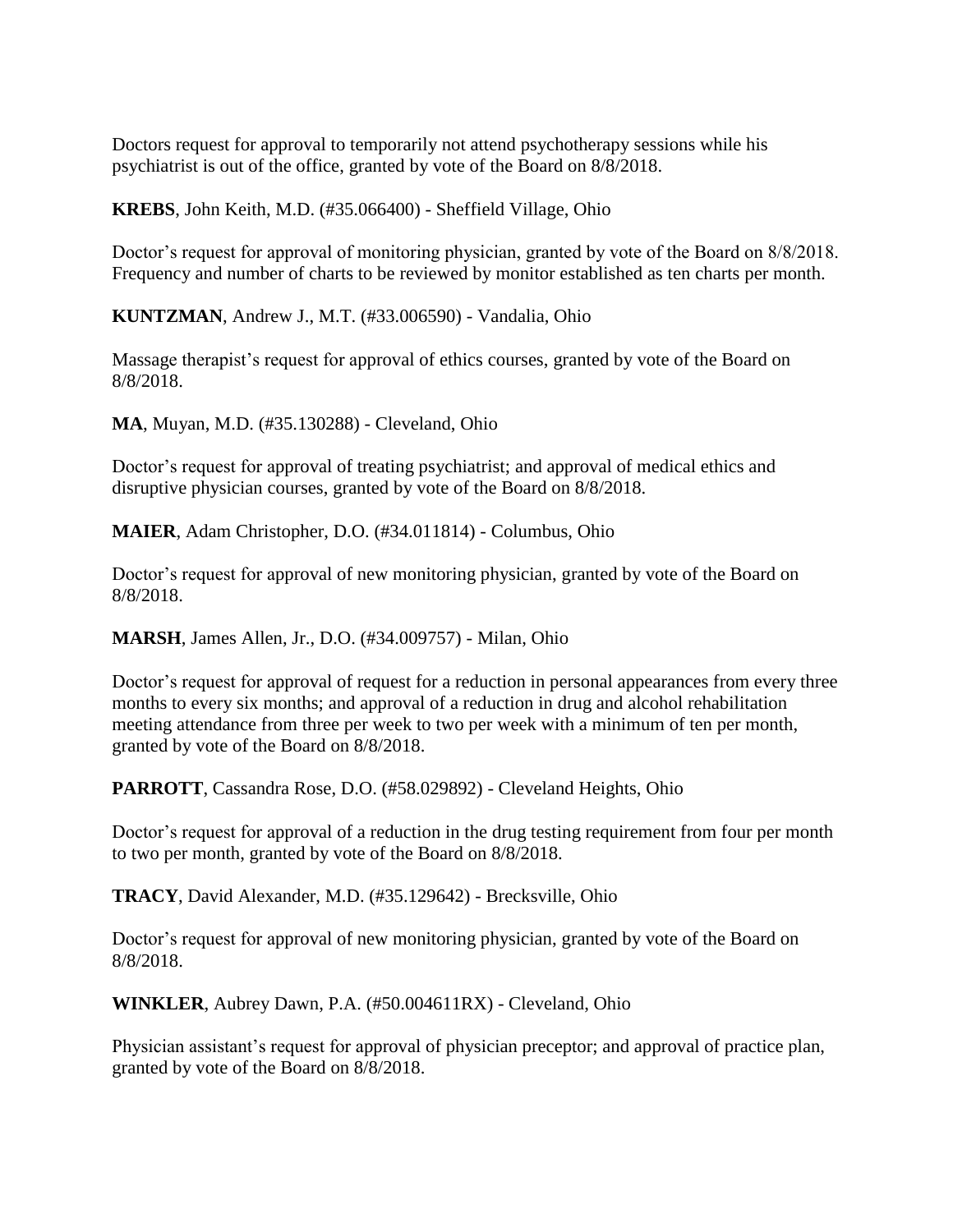Doctors request for approval to temporarily not attend psychotherapy sessions while his psychiatrist is out of the office, granted by vote of the Board on 8/8/2018.

**KREBS**, John Keith, M.D. (#35.066400) - Sheffield Village, Ohio

Doctor's request for approval of monitoring physician, granted by vote of the Board on 8/8/2018. Frequency and number of charts to be reviewed by monitor established as ten charts per month.

**KUNTZMAN**, Andrew J., M.T. (#33.006590) - Vandalia, Ohio

Massage therapist's request for approval of ethics courses, granted by vote of the Board on 8/8/2018.

**MA**, Muyan, M.D. (#35.130288) - Cleveland, Ohio

Doctor's request for approval of treating psychiatrist; and approval of medical ethics and disruptive physician courses, granted by vote of the Board on 8/8/2018.

**MAIER**, Adam Christopher, D.O. (#34.011814) - Columbus, Ohio

Doctor's request for approval of new monitoring physician, granted by vote of the Board on 8/8/2018.

**MARSH**, James Allen, Jr., D.O. (#34.009757) - Milan, Ohio

Doctor's request for approval of request for a reduction in personal appearances from every three months to every six months; and approval of a reduction in drug and alcohol rehabilitation meeting attendance from three per week to two per week with a minimum of ten per month, granted by vote of the Board on 8/8/2018.

**PARROTT**, Cassandra Rose, D.O. (#58.029892) - Cleveland Heights, Ohio

Doctor's request for approval of a reduction in the drug testing requirement from four per month to two per month, granted by vote of the Board on 8/8/2018.

**TRACY**, David Alexander, M.D. (#35.129642) - Brecksville, Ohio

Doctor's request for approval of new monitoring physician, granted by vote of the Board on 8/8/2018.

**WINKLER**, Aubrey Dawn, P.A. (#50.004611RX) - Cleveland, Ohio

Physician assistant's request for approval of physician preceptor; and approval of practice plan, granted by vote of the Board on 8/8/2018.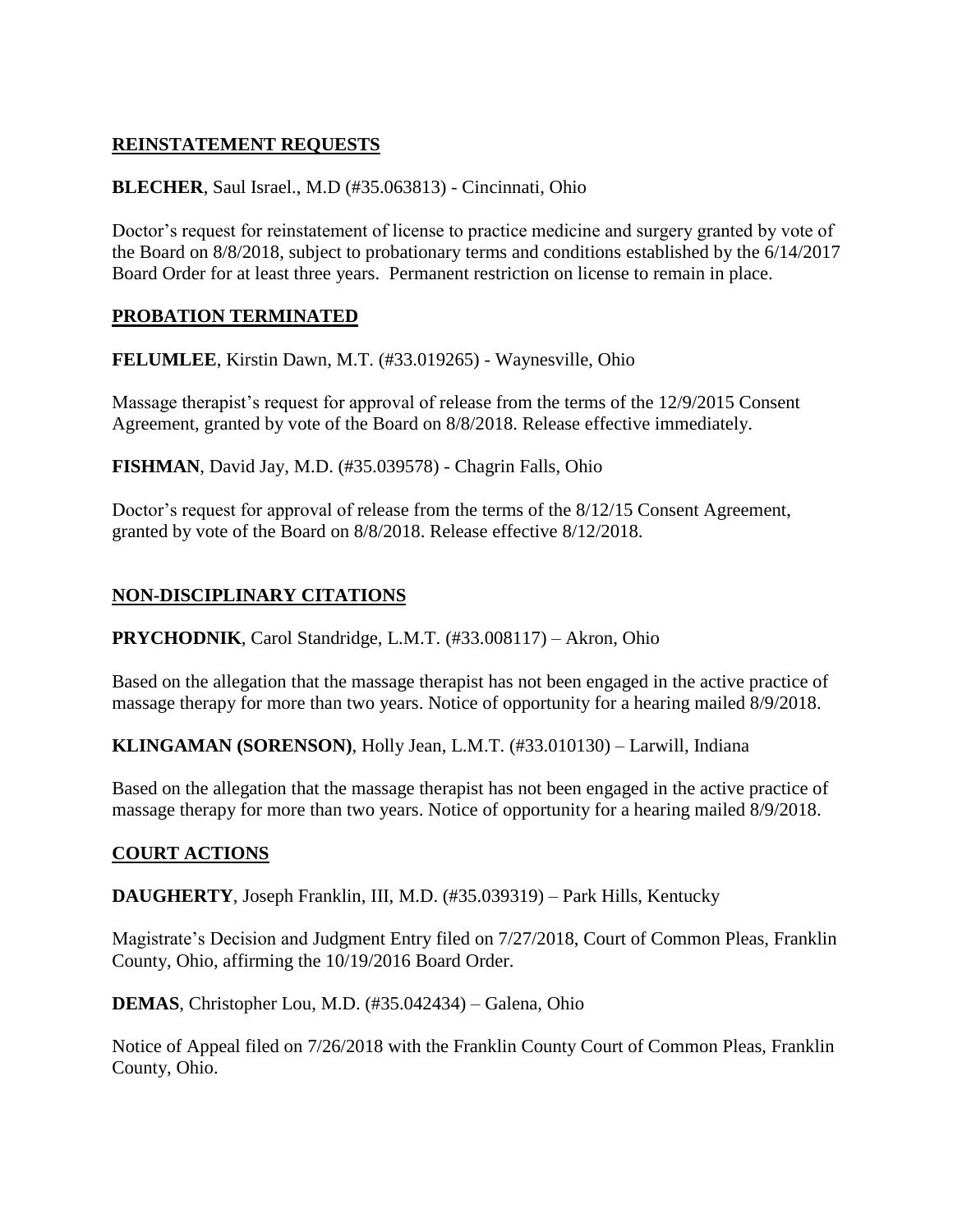# **REINSTATEMENT REQUESTS**

## **BLECHER**, Saul Israel., M.D (#35.063813) - Cincinnati, Ohio

Doctor's request for reinstatement of license to practice medicine and surgery granted by vote of the Board on 8/8/2018, subject to probationary terms and conditions established by the 6/14/2017 Board Order for at least three years. Permanent restriction on license to remain in place.

### **PROBATION TERMINATED**

**FELUMLEE**, Kirstin Dawn, M.T. (#33.019265) - Waynesville, Ohio

Massage therapist's request for approval of release from the terms of the 12/9/2015 Consent Agreement, granted by vote of the Board on 8/8/2018. Release effective immediately.

**FISHMAN**, David Jay, M.D. (#35.039578) - Chagrin Falls, Ohio

Doctor's request for approval of release from the terms of the 8/12/15 Consent Agreement, granted by vote of the Board on 8/8/2018. Release effective 8/12/2018.

# **NON-DISCIPLINARY CITATIONS**

**PRYCHODNIK**, Carol Standridge, L.M.T. (#33.008117) – Akron, Ohio

Based on the allegation that the massage therapist has not been engaged in the active practice of massage therapy for more than two years. Notice of opportunity for a hearing mailed 8/9/2018.

**KLINGAMAN (SORENSON)**, Holly Jean, L.M.T. (#33.010130) – Larwill, Indiana

Based on the allegation that the massage therapist has not been engaged in the active practice of massage therapy for more than two years. Notice of opportunity for a hearing mailed 8/9/2018.

# **COURT ACTIONS**

**DAUGHERTY**, Joseph Franklin, III, M.D. (#35.039319) – Park Hills, Kentucky

Magistrate's Decision and Judgment Entry filed on 7/27/2018, Court of Common Pleas, Franklin County, Ohio, affirming the 10/19/2016 Board Order.

**DEMAS**, Christopher Lou, M.D. (#35.042434) – Galena, Ohio

Notice of Appeal filed on 7/26/2018 with the Franklin County Court of Common Pleas, Franklin County, Ohio.